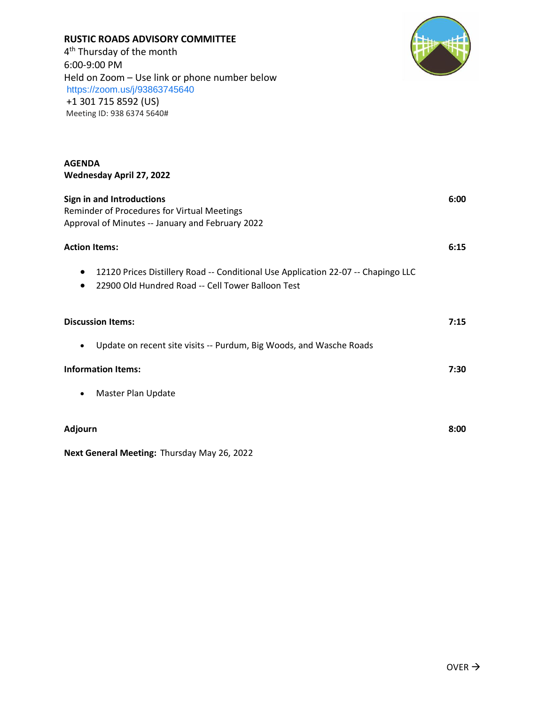# **AGENDA Wednesday April 27, 2022 Sign in and Introductions 6:00** Reminder of Procedures for Virtual Meetings Approval of Minutes -- January and February 2022 **Action Items: 6:15** • 12120 Prices Distillery Road -- Conditional Use Application 22-07 -- Chapingo LLC • 22900 Old Hundred Road -- Cell Tower Balloon Test **Discussion Items: 7:15** • Update on recent site visits -- Purdum, Big Woods, and Wasche Roads **Information Items: 7:30** • Master Plan Update **Adjourn 8:00**

**Next General Meeting:** Thursday May 26, 2022



## **RUSTIC ROADS ADVISORY COMMITTEE**

4<sup>th</sup> Thursday of the month 6:00-9:00 PM Held on Zoom – Use link or phone number below <https://zoom.us/j/93863745640> +1 301 715 8592 (US) Meeting ID: 938 6374 5640#